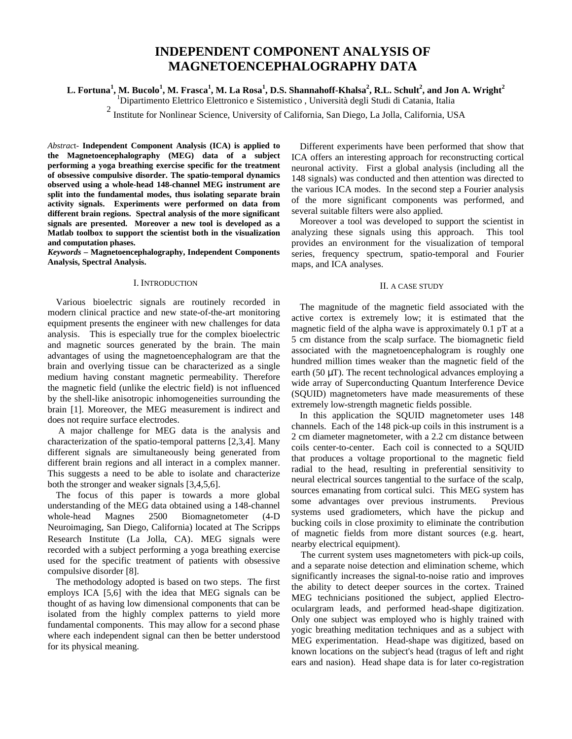# **INDEPENDENT COMPONENT ANALYSIS OF MAGNETOENCEPHALOGRAPHY DATA**

**L. Fortuna<sup>1</sup> , M. Bucolo<sup>1</sup> , M. Frasca<sup>1</sup> , M. La Rosa<sup>1</sup> , D.S. Shannahoff-Khalsa<sup>2</sup> , R.L. Schult<sup>2</sup> , and Jon A. Wright<sup>2</sup>**

<sup>1</sup>Dipartimento Elettrico Elettronico e Sistemistico , Università degli Studi di Catania, Italia

<sup>2</sup> Institute for Nonlinear Science, University of California, San Diego, La Jolla, California, USA

*Abstrac*t- **Independent Component Analysis (ICA) is applied to the Magnetoencephalography (MEG) data of a subject performing a yoga breathing exercise specific for the treatment of obsessive compulsive disorder. The spatio-temporal dynamics observed using a whole-head 148-channel MEG instrument are split into the fundamental modes, thus isolating separate brain activity signals. Experiments were performed on data from different brain regions. Spectral analysis of the more significant signals are presented. Moreover a new tool is developed as a Matlab toolbox to support the scientist both in the visualization and computation phases.**

*Keywords –* **Magnetoencephalography, Independent Components Analysis, Spectral Analysis.**

## I. INTRODUCTION

Various bioelectric signals are routinely recorded in modern clinical practice and new state-of-the-art monitoring equipment presents the engineer with new challenges for data analysis. This is especially true for the complex bioelectric and magnetic sources generated by the brain. The main advantages of using the magnetoencephalogram are that the brain and overlying tissue can be characterized as a single medium having constant magnetic permeability. Therefore the magnetic field (unlike the electric field) is not influenced by the shell-like anisotropic inhomogeneities surrounding the brain [1]. Moreover, the MEG measurement is indirect and does not require surface electrodes.

 A major challenge for MEG data is the analysis and characterization of the spatio-temporal patterns [2,3,4]. Many different signals are simultaneously being generated from different brain regions and all interact in a complex manner. This suggests a need to be able to isolate and characterize both the stronger and weaker signals [3,4,5,6].

The focus of this paper is towards a more global understanding of the MEG data obtained using a 148-channel whole-head Magnes 2500 Biomagnetometer (4-D Neuroimaging, San Diego, California) located at The Scripps Research Institute (La Jolla, CA). MEG signals were recorded with a subject performing a yoga breathing exercise used for the specific treatment of patients with obsessive compulsive disorder [8].

The methodology adopted is based on two steps. The first employs ICA [5,6] with the idea that MEG signals can be thought of as having low dimensional components that can be isolated from the highly complex patterns to yield more fundamental components. This may allow for a second phase where each independent signal can then be better understood for its physical meaning.

Different experiments have been performed that show that ICA offers an interesting approach for reconstructing cortical neuronal activity. First a global analysis (including all the 148 signals) was conducted and then attention was directed to the various ICA modes. In the second step a Fourier analysis of the more significant components was performed, and several suitable filters were also applied.

Moreover a tool was developed to support the scientist in analyzing these signals using this approach. This tool provides an environment for the visualization of temporal series, frequency spectrum, spatio-temporal and Fourier maps, and ICA analyses.

# II. A CASE STUDY

The magnitude of the magnetic field associated with the active cortex is extremely low; it is estimated that the magnetic field of the alpha wave is approximately 0.1 pT at a 5 cm distance from the scalp surface. The biomagnetic field associated with the magnetoencephalogram is roughly one hundred million times weaker than the magnetic field of the earth (50 μT). The recent technological advances employing a wide array of Superconducting Quantum Interference Device (SQUID) magnetometers have made measurements of these extremely low-strength magnetic fields possible.

In this application the SQUID magnetometer uses 148 channels. Each of the 148 pick-up coils in this instrument is a 2 cm diameter magnetometer, with a 2.2 cm distance between coils center-to-center. Each coil is connected to a SQUID that produces a voltage proportional to the magnetic field radial to the head, resulting in preferential sensitivity to neural electrical sources tangential to the surface of the scalp, sources emanating from cortical sulci. This MEG system has some advantages over previous instruments. Previous systems used gradiometers, which have the pickup and bucking coils in close proximity to eliminate the contribution of magnetic fields from more distant sources (e.g. heart, nearby electrical equipment).

 The current system uses magnetometers with pick-up coils, and a separate noise detection and elimination scheme, which significantly increases the signal-to-noise ratio and improves the ability to detect deeper sources in the cortex. Trained MEG technicians positioned the subject, applied Electrooculargram leads, and performed head-shape digitization. Only one subject was employed who is highly trained with yogic breathing meditation techniques and as a subject with MEG experimentation. Head-shape was digitized, based on known locations on the subject's head (tragus of left and right ears and nasion). Head shape data is for later co-registration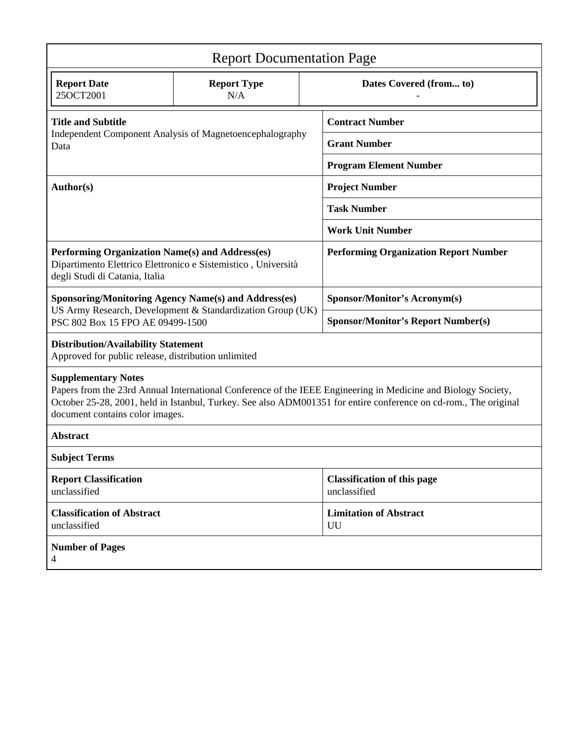| <b>Report Documentation Page</b>                                                                                                                                                                                                                                                                   |                           |                                                    |                                           |  |  |
|----------------------------------------------------------------------------------------------------------------------------------------------------------------------------------------------------------------------------------------------------------------------------------------------------|---------------------------|----------------------------------------------------|-------------------------------------------|--|--|
| <b>Report Date</b><br>25OCT2001                                                                                                                                                                                                                                                                    | <b>Report Type</b><br>N/A |                                                    | Dates Covered (from to)                   |  |  |
| <b>Title and Subtitle</b><br>Independent Component Analysis of Magnetoencephalography<br>Data                                                                                                                                                                                                      |                           | <b>Contract Number</b>                             |                                           |  |  |
|                                                                                                                                                                                                                                                                                                    |                           | <b>Grant Number</b>                                |                                           |  |  |
|                                                                                                                                                                                                                                                                                                    |                           | <b>Program Element Number</b>                      |                                           |  |  |
| <b>Author(s)</b>                                                                                                                                                                                                                                                                                   |                           | <b>Project Number</b>                              |                                           |  |  |
|                                                                                                                                                                                                                                                                                                    |                           |                                                    | <b>Task Number</b>                        |  |  |
|                                                                                                                                                                                                                                                                                                    |                           |                                                    | <b>Work Unit Number</b>                   |  |  |
| Performing Organization Name(s) and Address(es)<br>Dipartimento Elettrico Elettronico e Sistemistico, Università<br>degli Studi di Catania, Italia                                                                                                                                                 |                           | <b>Performing Organization Report Number</b>       |                                           |  |  |
| <b>Sponsoring/Monitoring Agency Name(s) and Address(es)</b><br>US Army Research, Development & Standardization Group (UK)<br>PSC 802 Box 15 FPO AE 09499-1500                                                                                                                                      |                           |                                                    | <b>Sponsor/Monitor's Acronym(s)</b>       |  |  |
|                                                                                                                                                                                                                                                                                                    |                           |                                                    | <b>Sponsor/Monitor's Report Number(s)</b> |  |  |
| <b>Distribution/Availability Statement</b><br>Approved for public release, distribution unlimited                                                                                                                                                                                                  |                           |                                                    |                                           |  |  |
| <b>Supplementary Notes</b><br>Papers from the 23rd Annual International Conference of the IEEE Engineering in Medicine and Biology Society,<br>October 25-28, 2001, held in Istanbul, Turkey. See also ADM001351 for entire conference on cd-rom., The original<br>document contains color images. |                           |                                                    |                                           |  |  |
| <b>Abstract</b>                                                                                                                                                                                                                                                                                    |                           |                                                    |                                           |  |  |
| <b>Subject Terms</b>                                                                                                                                                                                                                                                                               |                           |                                                    |                                           |  |  |
| <b>Report Classification</b><br>unclassified                                                                                                                                                                                                                                                       |                           | <b>Classification of this page</b><br>unclassified |                                           |  |  |
| <b>Classification of Abstract</b><br>unclassified                                                                                                                                                                                                                                                  |                           |                                                    | <b>Limitation of Abstract</b><br>UU       |  |  |
| <b>Number of Pages</b><br>4                                                                                                                                                                                                                                                                        |                           |                                                    |                                           |  |  |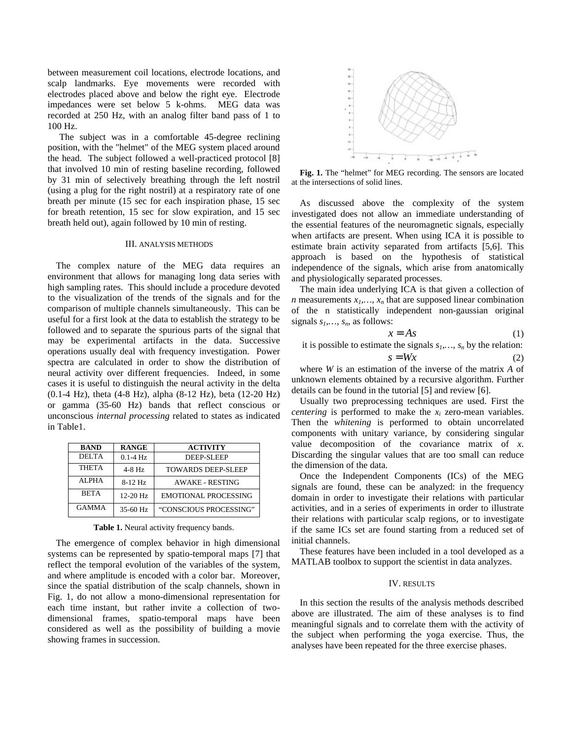between measurement coil locations, electrode locations, and scalp landmarks. Eye movements were recorded with electrodes placed above and below the right eye. Electrode impedances were set below 5 k-ohms. MEG data was recorded at 250 Hz, with an analog filter band pass of 1 to 100 Hz.

 The subject was in a comfortable 45-degree reclining position, with the "helmet" of the MEG system placed around the head. The subject followed a well-practiced protocol [8] that involved 10 min of resting baseline recording, followed by 31 min of selectively breathing through the left nostril (using a plug for the right nostril) at a respiratory rate of one breath per minute (15 sec for each inspiration phase, 15 sec for breath retention, 15 sec for slow expiration, and 15 sec breath held out), again followed by 10 min of resting.

### III. ANALYSIS METHODS

The complex nature of the MEG data requires an environment that allows for managing long data series with high sampling rates. This should include a procedure devoted to the visualization of the trends of the signals and for the comparison of multiple channels simultaneously. This can be useful for a first look at the data to establish the strategy to be followed and to separate the spurious parts of the signal that may be experimental artifacts in the data. Successive operations usually deal with frequency investigation. Power spectra are calculated in order to show the distribution of neural activity over different frequencies. Indeed, in some cases it is useful to distinguish the neural activity in the delta (0.1-4 Hz), theta (4-8 Hz), alpha (8-12 Hz), beta (12-20 Hz) or gamma (35-60 Hz) bands that reflect conscious or unconscious *internal processing* related to states as indicated in Table1.

| <b>BAND</b>  | <b>RANGE</b> | <b>ACTIVITY</b>             |  |
|--------------|--------------|-----------------------------|--|
| <b>DELTA</b> | $0.1 - 4$ Hz | <b>DEEP-SLEEP</b>           |  |
| <b>THETA</b> | $4-8$ Hz     | <b>TOWARDS DEEP-SLEEP</b>   |  |
| <b>ALPHA</b> | $8-12$ Hz    | <b>AWAKE - RESTING</b>      |  |
| <b>BETA</b>  | $12 - 20$ Hz | <b>EMOTIONAL PROCESSING</b> |  |
| <b>GAMMA</b> | 35-60 Hz     | "CONSCIOUS PROCESSING"      |  |

Table 1. Neural activity frequency bands.

The emergence of complex behavior in high dimensional systems can be represented by spatio-temporal maps [7] that reflect the temporal evolution of the variables of the system, and where amplitude is encoded with a color bar. Moreover, since the spatial distribution of the scalp channels, shown in Fig. 1, do not allow a mono-dimensional representation for each time instant, but rather invite a collection of twodimensional frames, spatio-temporal maps have been considered as well as the possibility of building a movie showing frames in succession.



**Fig. 1.** The "helmet" for MEG recording. The sensors are located at the intersections of solid lines.

As discussed above the complexity of the system investigated does not allow an immediate understanding of the essential features of the neuromagnetic signals, especially when artifacts are present. When using ICA it is possible to estimate brain activity separated from artifacts [5,6]. This approach is based on the hypothesis of statistical independence of the signals, which arise from anatomically and physiologically separated processes.

The main idea underlying ICA is that given a collection of *n* measurements  $x_1, \ldots, x_n$  that are supposed linear combination of the n statistically independent non-gaussian original signals  $s_1$ ,  $s_n$ , as follows:

$$
x = As \tag{1}
$$

it is possible to estimate the signals  $s_1, \ldots, s_n$  by the relation:  $s = Wx$  (2)

where *W* is an estimation of the inverse of the matrix *A* of unknown elements obtained by a recursive algorithm. Further details can be found in the tutorial [5] and review [6].

Usually two preprocessing techniques are used. First the *centering* is performed to make the  $x_i$  zero-mean variables. Then the *whitening* is performed to obtain uncorrelated components with unitary variance, by considering singular value decomposition of the covariance matrix of *x*. Discarding the singular values that are too small can reduce the dimension of the data.

Once the Independent Components (ICs) of the MEG signals are found, these can be analyzed: in the frequency domain in order to investigate their relations with particular activities, and in a series of experiments in order to illustrate their relations with particular scalp regions, or to investigate if the same ICs set are found starting from a reduced set of initial channels.

These features have been included in a tool developed as a MATLAB toolbox to support the scientist in data analyzes.

### IV. RESULTS

In this section the results of the analysis methods described above are illustrated. The aim of these analyses is to find meaningful signals and to correlate them with the activity of the subject when performing the yoga exercise. Thus, the analyses have been repeated for the three exercise phases.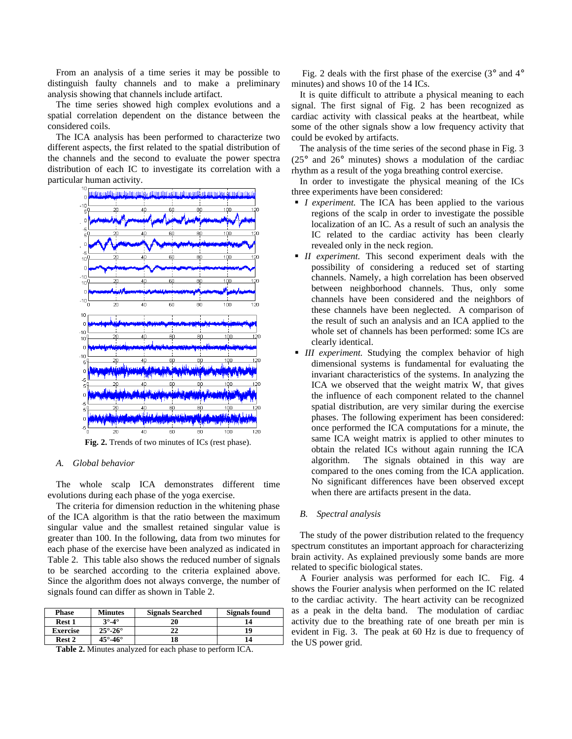From an analysis of a time series it may be possible to distinguish faulty channels and to make a preliminary analysis showing that channels include artifact.

The time series showed high complex evolutions and a spatial correlation dependent on the distance between the considered coils.

The ICA analysis has been performed to characterize two different aspects, the first related to the spatial distribution of the channels and the second to evaluate the power spectra distribution of each IC to investigate its correlation with a particular human activity.



# *A. Global behavior*

The whole scalp ICA demonstrates different time evolutions during each phase of the yoga exercise.

The criteria for dimension reduction in the whitening phase of the ICA algorithm is that the ratio between the maximum singular value and the smallest retained singular value is greater than 100. In the following, data from two minutes for each phase of the exercise have been analyzed as indicated in Table 2. This table also shows the reduced number of signals to be searched according to the criteria explained above. Since the algorithm does not always converge, the number of signals found can differ as shown in Table 2.

| <b>Phase</b>    | <b>Minutes</b>               | <b>Signals Searched</b> | Signals found |
|-----------------|------------------------------|-------------------------|---------------|
| Rest 1          | $3^\circ - 4^\circ$          | 20                      |               |
| <b>Exercise</b> | $25^\circ \text{-} 26^\circ$ | 22                      | 19            |
| Rest 2          | $45^\circ$ -46 $^\circ$      | 18                      | 14            |

**Table 2.** Minutes analyzed for each phase to perform ICA.

Fig. 2 deals with the first phase of the exercise  $(3^{\circ}$  and  $4^{\circ}$ minutes) and shows 10 of the 14 ICs.

It is quite difficult to attribute a physical meaning to each signal. The first signal of Fig. 2 has been recognized as cardiac activity with classical peaks at the heartbeat, while some of the other signals show a low frequency activity that could be evoked by artifacts.

The analysis of the time series of the second phase in Fig. 3  $(25^{\circ}$  and  $26^{\circ}$  minutes) shows a modulation of the cardiac rhythm as a result of the yoga breathing control exercise.

In order to investigate the physical meaning of the ICs three experiments have been considered:

- *I experiment.* The ICA has been applied to the various regions of the scalp in order to investigate the possible localization of an IC. As a result of such an analysis the IC related to the cardiac activity has been clearly revealed only in the neck region.
- ß *II experiment.* This second experiment deals with the possibility of considering a reduced set of starting channels. Namely, a high correlation has been observed between neighborhood channels. Thus, only some channels have been considered and the neighbors of these channels have been neglected. A comparison of the result of such an analysis and an ICA applied to the whole set of channels has been performed: some ICs are clearly identical.
- **III** experiment. Studying the complex behavior of high dimensional systems is fundamental for evaluating the invariant characteristics of the systems. In analyzing the ICA we observed that the weight matrix W, that gives the influence of each component related to the channel spatial distribution, are very similar during the exercise phases. The following experiment has been considered: once performed the ICA computations for a minute, the same ICA weight matrix is applied to other minutes to obtain the related ICs without again running the ICA algorithm. The signals obtained in this way are compared to the ones coming from the ICA application. No significant differences have been observed except when there are artifacts present in the data.

### *B. Spectral analysis*

The study of the power distribution related to the frequency spectrum constitutes an important approach for characterizing brain activity. As explained previously some bands are more related to specific biological states.

A Fourier analysis was performed for each IC. Fig. 4 shows the Fourier analysis when performed on the IC related to the cardiac activity. The heart activity can be recognized as a peak in the delta band. The modulation of cardiac activity due to the breathing rate of one breath per min is evident in Fig. 3. The peak at 60 Hz is due to frequency of the US power grid.